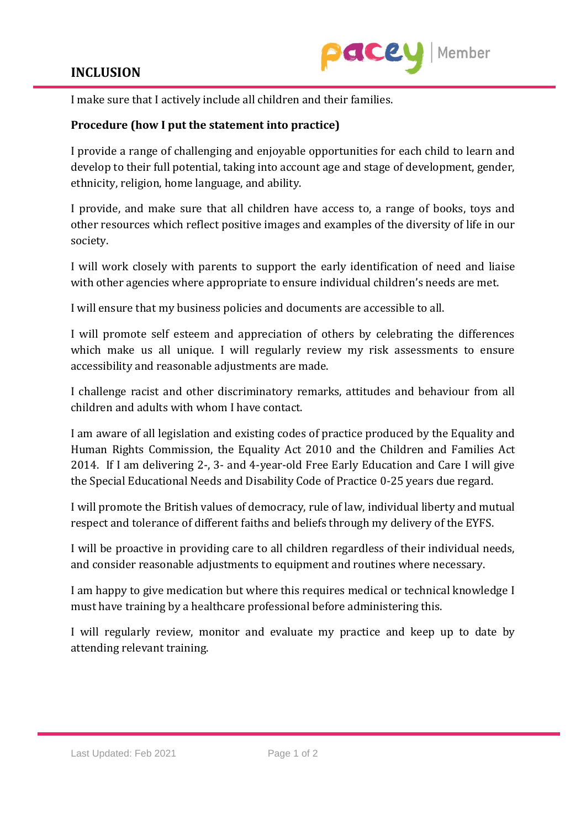## **INCLUSION**



I make sure that I actively include all children and their families.

## **Procedure (how I put the statement into practice)**

I provide a range of challenging and enjoyable opportunities for each child to learn and develop to their full potential, taking into account age and stage of development, gender, ethnicity, religion, home language, and ability.

I provide, and make sure that all children have access to, a range of books, toys and other resources which reflect positive images and examples of the diversity of life in our society.

I will work closely with parents to support the early identification of need and liaise with other agencies where appropriate to ensure individual children's needs are met.

I will ensure that my business policies and documents are accessible to all.

I will promote self esteem and appreciation of others by celebrating the differences which make us all unique. I will regularly review my risk assessments to ensure accessibility and reasonable adjustments are made.

I challenge racist and other discriminatory remarks, attitudes and behaviour from all children and adults with whom I have contact.

I am aware of all legislation and existing codes of practice produced by the Equality and Human Rights Commission, the Equality Act 2010 and the Children and Families Act 2014. If I am delivering 2-, 3- and 4-year-old Free Early Education and Care I will give the Special Educational Needs and Disability Code of Practice 0-25 years due regard.

I will promote the British values of democracy, rule of law, individual liberty and mutual respect and tolerance of different faiths and beliefs through my delivery of the EYFS.

I will be proactive in providing care to all children regardless of their individual needs, and consider reasonable adjustments to equipment and routines where necessary.

I am happy to give medication but where this requires medical or technical knowledge I must have training by a healthcare professional before administering this.

I will regularly review, monitor and evaluate my practice and keep up to date by attending relevant training.

Last Updated: Feb 2021 Page 1 of 2